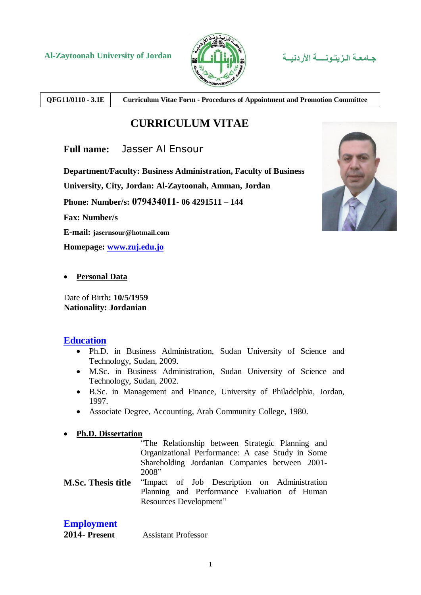



**QFG11/0110 - 3.1E Curriculum Vitae Form - Procedures of Appointment and Promotion Committee**

# **CURRICULUM VITAE**

**Full name:** Jasser Al Ensour

**Department/Faculty: Business Administration, Faculty of Business**

**University, City, Jordan: Al-Zaytoonah, Amman, Jordan** 

**Phone: Number/s: 079434011- 06 4291511 – 144**

**Fax: Number/s**

**E-mail: jasernsour@hotmail.com**

**Homepage: [www.zuj.edu.jo](http://www.zuj.edu.jo/)**



**Personal Data**

Date of Birth**: 10/5/1959 Nationality: Jordanian**

#### **Education**

- Ph.D. in Business Administration, Sudan University of Science and Technology, Sudan, 2009.
- M.Sc. in Business Administration, Sudan University of Science and Technology, Sudan, 2002.
- B.Sc. in Management and Finance, University of Philadelphia, Jordan, 1997.
- Associate Degree, Accounting, Arab Community College, 1980.

#### **Ph.D. Dissertation**

"The Relationship between Strategic Planning and Organizational Performance: A case Study in Some Shareholding Jordanian Companies between 2001- 2008"

**M.Sc. Thesis title** "Impact of Job Description on Administration Planning and Performance Evaluation of Human Resources Development"

### **Employment**

**2014- Present** Assistant Professor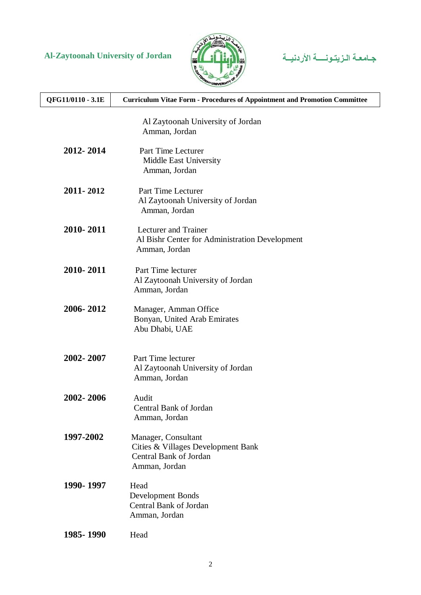



| QFG11/0110 - 3.1E | <b>Curriculum Vitae Form - Procedures of Appointment and Promotion Committee</b>                     |
|-------------------|------------------------------------------------------------------------------------------------------|
|                   | Al Zaytoonah University of Jordan<br>Amman, Jordan                                                   |
| 2012-2014         | Part Time Lecturer<br>Middle East University<br>Amman, Jordan                                        |
| 2011-2012         | Part Time Lecturer<br>Al Zaytoonah University of Jordan<br>Amman, Jordan                             |
| 2010-2011         | <b>Lecturer</b> and Trainer<br>Al Bishr Center for Administration Development<br>Amman, Jordan       |
| 2010-2011         | Part Time lecturer<br>Al Zaytoonah University of Jordan<br>Amman, Jordan                             |
| 2006-2012         | Manager, Amman Office<br>Bonyan, United Arab Emirates<br>Abu Dhabi, UAE                              |
| 2002-2007         | Part Time lecturer<br>Al Zaytoonah University of Jordan<br>Amman, Jordan                             |
| 2002-2006         | Audit<br>Central Bank of Jordan<br>Amman, Jordan                                                     |
| 1997-2002         | Manager, Consultant<br>Cities & Villages Development Bank<br>Central Bank of Jordan<br>Amman, Jordan |
| 1990-1997         | Head<br><b>Development Bonds</b><br>Central Bank of Jordan<br>Amman, Jordan                          |
| 1985-1990         | Head                                                                                                 |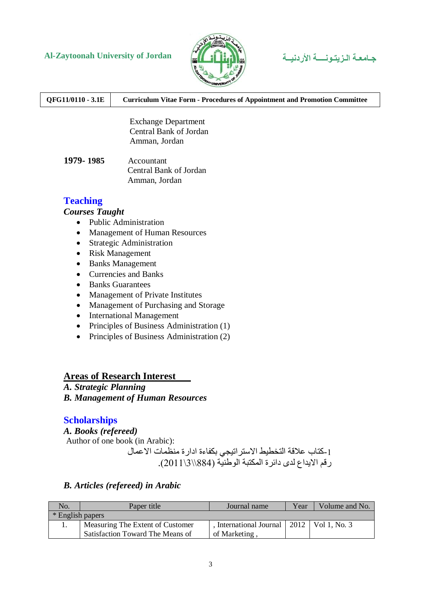# **Al-Zaytoonah University of Jordan األردنيــة الـزيتـونــــة جـامعـة**



**QFG11/0110 - 3.1E Curriculum Vitae Form - Procedures of Appointment and Promotion Committee**

 Exchange Department Central Bank of Jordan Amman, Jordan

**1979- 1985** Accountant Central Bank of Jordan Amman, Jordan

## **Teaching**

#### *Courses Taught*

- Public Administration
- Management of Human Resources
- Strategic Administration
- Risk Management
- Banks Management
- Currencies and Banks
- Banks Guarantees
- Management of Private Institutes
- Management of Purchasing and Storage
- International Management
- Principles of Business Administration (1)
- Principles of Business Administration (2)

#### **Areas of Research Interest**

### *A. Strategic Planning*

*B. Management of Human Resources*

## **Scholarships**

*A. Books (refereed)*

Author of one book (in Arabic):

-1كتاب عالقة التخطيط االستراتيجي بكفاءة ادارة منظمات االعمال رقم االيداع لدى دائرة المكتبة الوطنية )884\\3\2011(.

### *B. Articles (refereed) in Arabic*

| No.              | Paper title                      | Journal name                                | Year | Volume and No. |
|------------------|----------------------------------|---------------------------------------------|------|----------------|
| * English papers |                                  |                                             |      |                |
|                  | Measuring The Extent of Customer | International Journal   2012   Vol 1, No. 3 |      |                |
|                  | Satisfaction Toward The Means of | of Marketing,                               |      |                |